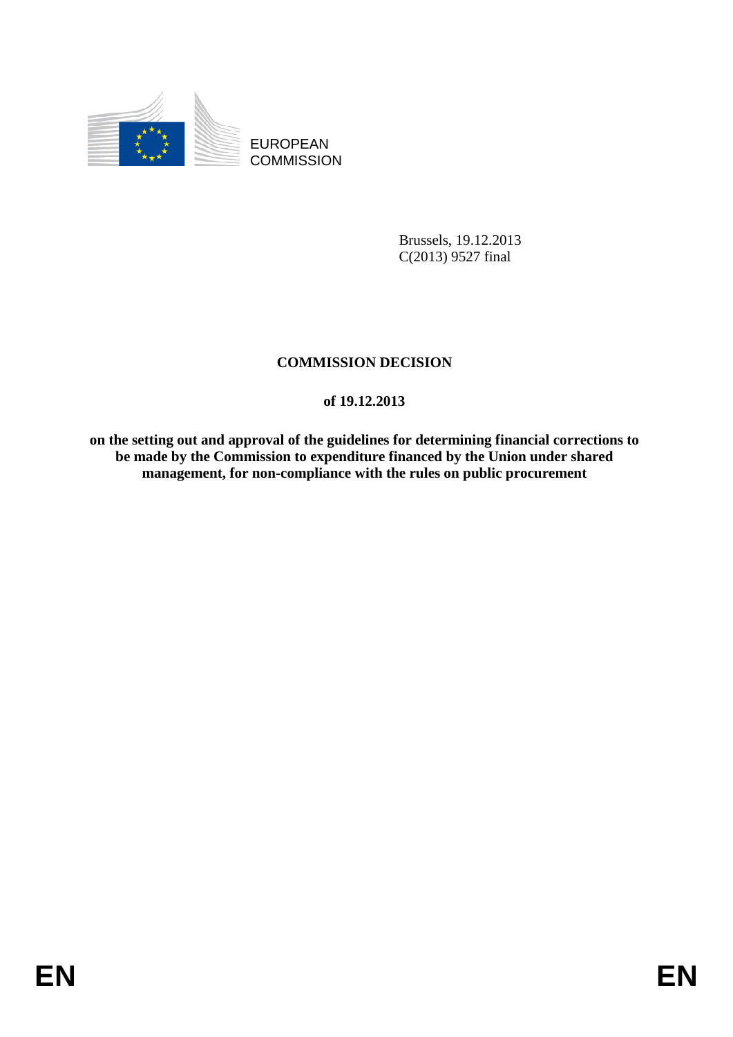

EUROPEAN **COMMISSION** 

> Brussels, 19.12.2013 C(2013) 9527 final

# **COMMISSION DECISION**

## **of 19.12.2013**

**on the setting out and approval of the guidelines for determining financial corrections to be made by the Commission to expenditure financed by the Union under shared management, for non-compliance with the rules on public procurement**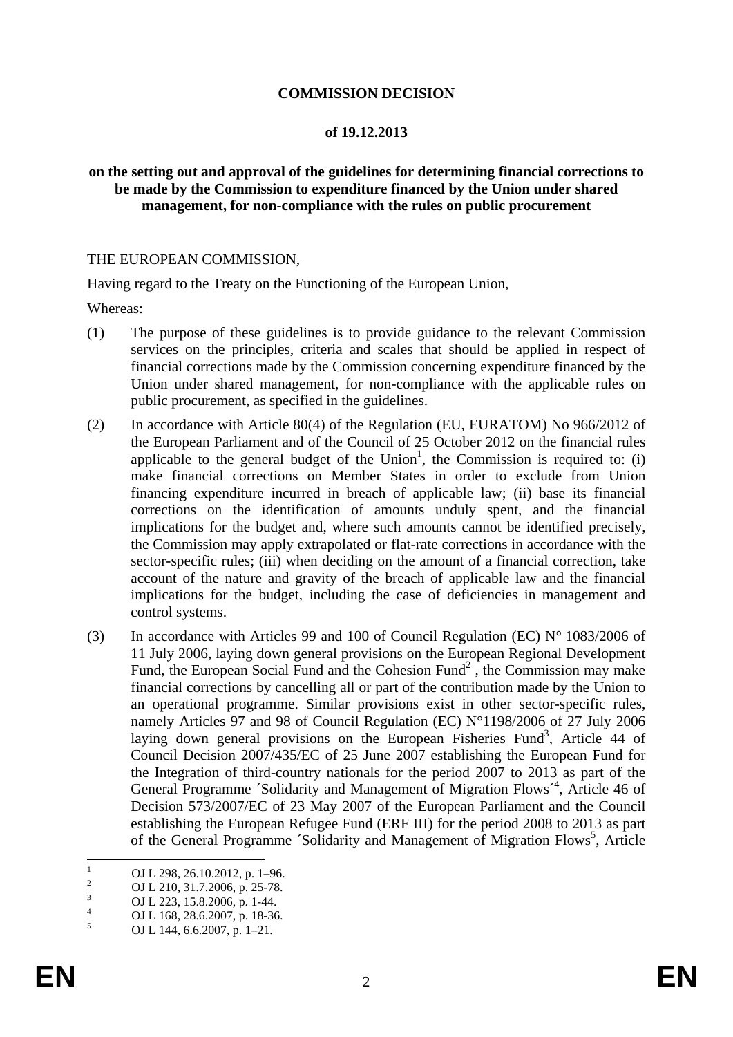#### **COMMISSION DECISION**

#### **of 19.12.2013**

#### **on the setting out and approval of the guidelines for determining financial corrections to be made by the Commission to expenditure financed by the Union under shared management, for non-compliance with the rules on public procurement**

#### THE EUROPEAN COMMISSION,

Having regard to the Treaty on the Functioning of the European Union,

Whereas:

- (1) The purpose of these guidelines is to provide guidance to the relevant Commission services on the principles, criteria and scales that should be applied in respect of financial corrections made by the Commission concerning expenditure financed by the Union under shared management, for non-compliance with the applicable rules on public procurement, as specified in the guidelines.
- (2) In accordance with Article 80(4) of the Regulation (EU, EURATOM) No 966/2012 of the European Parliament and of the Council of 25 October 2012 on the financial rules applicable to the general budget of the  $Union<sup>1</sup>$ , the Commission is required to: (i) make financial corrections on Member States in order to exclude from Union financing expenditure incurred in breach of applicable law; (ii) base its financial corrections on the identification of amounts unduly spent, and the financial implications for the budget and, where such amounts cannot be identified precisely, the Commission may apply extrapolated or flat-rate corrections in accordance with the sector-specific rules; (iii) when deciding on the amount of a financial correction, take account of the nature and gravity of the breach of applicable law and the financial implications for the budget, including the case of deficiencies in management and control systems.
- (3) In accordance with Articles 99 and 100 of Council Regulation (EC)  $N^{\circ}$  1083/2006 of 11 July 2006, laying down general provisions on the European Regional Development Fund, the European Social Fund and the Cohesion Fund<sup>2</sup>, the Commission may make financial corrections by cancelling all or part of the contribution made by the Union to an operational programme. Similar provisions exist in other sector-specific rules, namely Articles 97 and 98 of Council Regulation (EC) N°1198/2006 of 27 July 2006 laying down general provisions on the European Fisheries Fund<sup>3</sup>, Article 44 of Council Decision 2007/435/EC of 25 June 2007 establishing the European Fund for the Integration of third-country nationals for the period 2007 to 2013 as part of the General Programme 'Solidarity and Management of Migration Flows<sup>-4</sup>, Article 46 of Decision 573/2007/EC of 23 May 2007 of the European Parliament and the Council establishing the European Refugee Fund (ERF III) for the period 2008 to 2013 as part of the General Programme 'Solidarity and Management of Migration Flows<sup>5</sup>, Article

 $\frac{1}{1}$ OJ L 298, 26.10.2012, p. 1–96.

<sup>2</sup> OJ L 210, 31.7.2006, p. 25-78.

<sup>3</sup> OJ L 223, 15.8.2006, p. 1-44.

<sup>4</sup> OJ L 168, 28.6.2007, p. 18-36.

<sup>5</sup> OJ L 144, 6.6.2007, p. 1–21.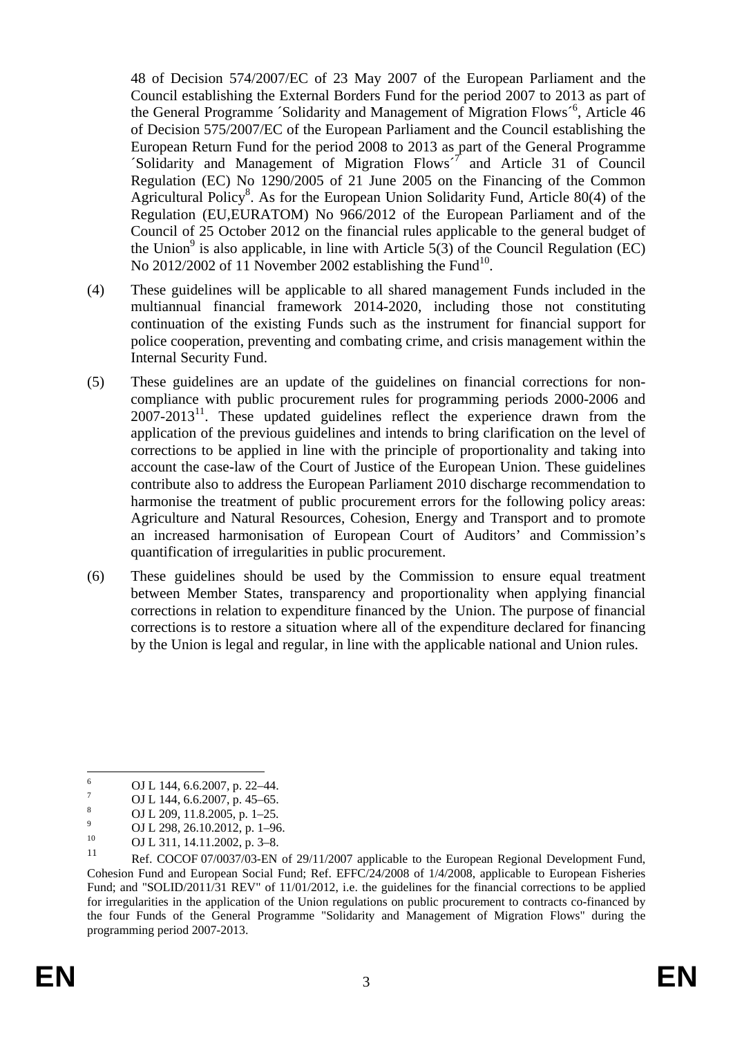48 of Decision 574/2007/EC of 23 May 2007 of the European Parliament and the Council establishing the External Borders Fund for the period 2007 to 2013 as part of the General Programme 'Solidarity and Management of Migration Flows<sup>-6</sup>, Article 46 of Decision 575/2007/EC of the European Parliament and the Council establishing the European Return Fund for the period 2008 to 2013 as part of the General Programme 'Solidarity and Management of Migration Flows<sup> $7$ </sup> and Article 31 of Council Regulation (EC) No 1290/2005 of 21 June 2005 on the Financing of the Common Agricultural Policy<sup>8</sup>. As for the European Union Solidarity Fund, Article 80(4) of the Regulation (EU,EURATOM) No 966/2012 of the European Parliament and of the Council of 25 October 2012 on the financial rules applicable to the general budget of the Union<sup>9</sup> is also applicable, in line with Article 5(3) of the Council Regulation (EC) No  $2012/2002$  of 11 November 2002 establishing the Fund<sup>10</sup>.

- (4) These guidelines will be applicable to all shared management Funds included in the multiannual financial framework 2014-2020, including those not constituting continuation of the existing Funds such as the instrument for financial support for police cooperation, preventing and combating crime, and crisis management within the Internal Security Fund.
- (5) These guidelines are an update of the guidelines on financial corrections for noncompliance with public procurement rules for programming periods 2000-2006 and  $2007-2013<sup>11</sup>$ . These updated guidelines reflect the experience drawn from the application of the previous guidelines and intends to bring clarification on the level of corrections to be applied in line with the principle of proportionality and taking into account the case-law of the Court of Justice of the European Union. These guidelines contribute also to address the European Parliament 2010 discharge recommendation to harmonise the treatment of public procurement errors for the following policy areas: Agriculture and Natural Resources, Cohesion, Energy and Transport and to promote an increased harmonisation of European Court of Auditors' and Commission's quantification of irregularities in public procurement.
- (6) These guidelines should be used by the Commission to ensure equal treatment between Member States, transparency and proportionality when applying financial corrections in relation to expenditure financed by the Union. The purpose of financial corrections is to restore a situation where all of the expenditure declared for financing by the Union is legal and regular, in line with the applicable national and Union rules.

 $\frac{1}{6}$ <sup>6</sup> OJ L 144, 6.6.2007, p. 22–44.

OJ L 144, 6.6.2007, p. 45–65. 8

OJ L 209, 11.8.2005, p. 1–25. 9

<sup>&</sup>lt;sup>9</sup> OJ L 298, 26.10.2012, p. 1–96.<br><sup>10</sup> OJ 1, 211, 14, 11, 2002, p. 2, 9.

 $10$  OJ L 311, 14.11.2002, p. 3–8.

Ref. COCOF 07/0037/03-EN of 29/11/2007 applicable to the European Regional Development Fund, Cohesion Fund and European Social Fund; Ref. EFFC/24/2008 of 1/4/2008, applicable to European Fisheries Fund; and "SOLID/2011/31 REV" of 11/01/2012, i.e. the guidelines for the financial corrections to be applied for irregularities in the application of the Union regulations on public procurement to contracts co-financed by the four Funds of the General Programme "Solidarity and Management of Migration Flows" during the programming period 2007-2013.